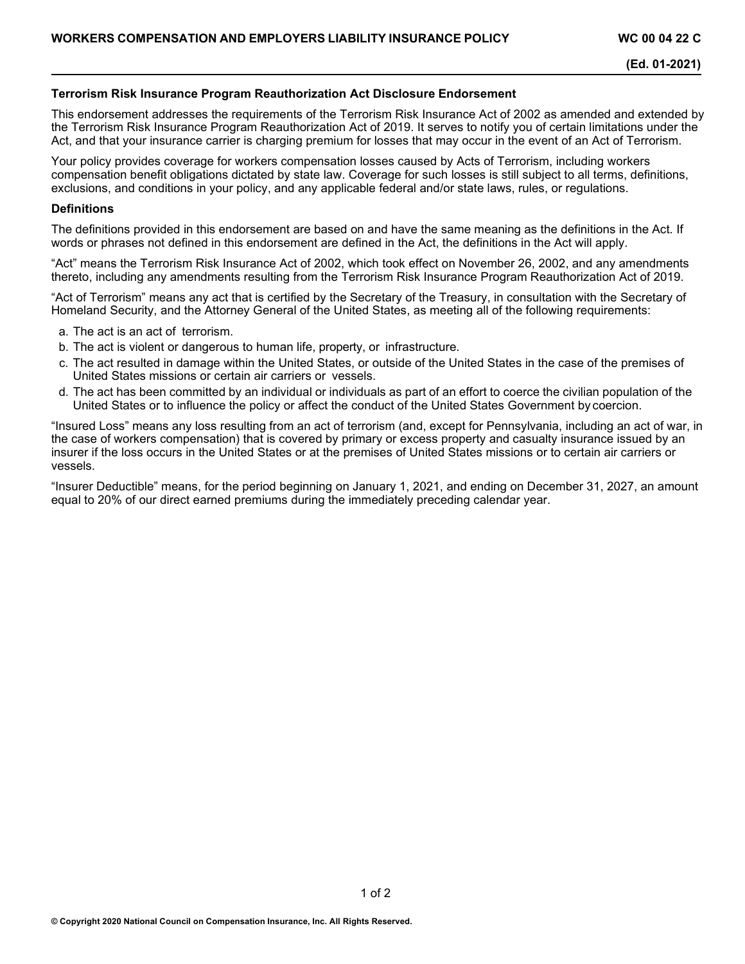## **Terrorism Risk Insurance Program Reauthorization Act Disclosure Endorsement**

This endorsement addresses the requirements of the Terrorism Risk Insurance Act of 2002 as amended and extended by the Terrorism Risk Insurance Program Reauthorization Act of 2019. It serves to notify you of certain limitations under the Act, and that your insurance carrier is charging premium for losses that may occur in the event of an Act of Terrorism.

Your policy provides coverage for workers compensation losses caused by Acts of Terrorism, including workers compensation benefit obligations dictated by state law. Coverage for such losses is still subject to all terms, definitions, exclusions, and conditions in your policy, and any applicable federal and/or state laws, rules, or regulations.

#### **Definitions**

The definitions provided in this endorsement are based on and have the same meaning as the definitions in the Act. If words or phrases not defined in this endorsement are defined in the Act, the definitions in the Act will apply.

"Act" means the Terrorism Risk Insurance Act of 2002, which took effect on November 26, 2002, and any amendments thereto, including any amendments resulting from the Terrorism Risk Insurance Program Reauthorization Act of 2019.

"Act of Terrorism" means any act that is certified by the Secretary of the Treasury, in consultation with the Secretary of Homeland Security, and the Attorney General of the United States, as meeting all of the following requirements:

- a. The act is an act of terrorism.
- b. The act is violent or dangerous to human life, property, or infrastructure.
- c. The act resulted in damage within the United States, or outside of the United States in the case of the premises of United States missions or certain air carriers or vessels.
- d. The act has been committed by an individual or individuals as part of an effort to coerce the civilian population of the United States or to influence the policy or affect the conduct of the United States Government by coercion.

"Insured Loss" means any loss resulting from an act of terrorism (and, except for Pennsylvania, including an act of war, in the case of workers compensation) that is covered by primary or excess property and casualty insurance issued by an insurer if the loss occurs in the United States or at the premises of United States missions or to certain air carriers or vessels.

"Insurer Deductible" means, for the period beginning on January 1, 2021, and ending on December 31, 2027, an amount equal to 20% of our direct earned premiums during the immediately preceding calendar year.